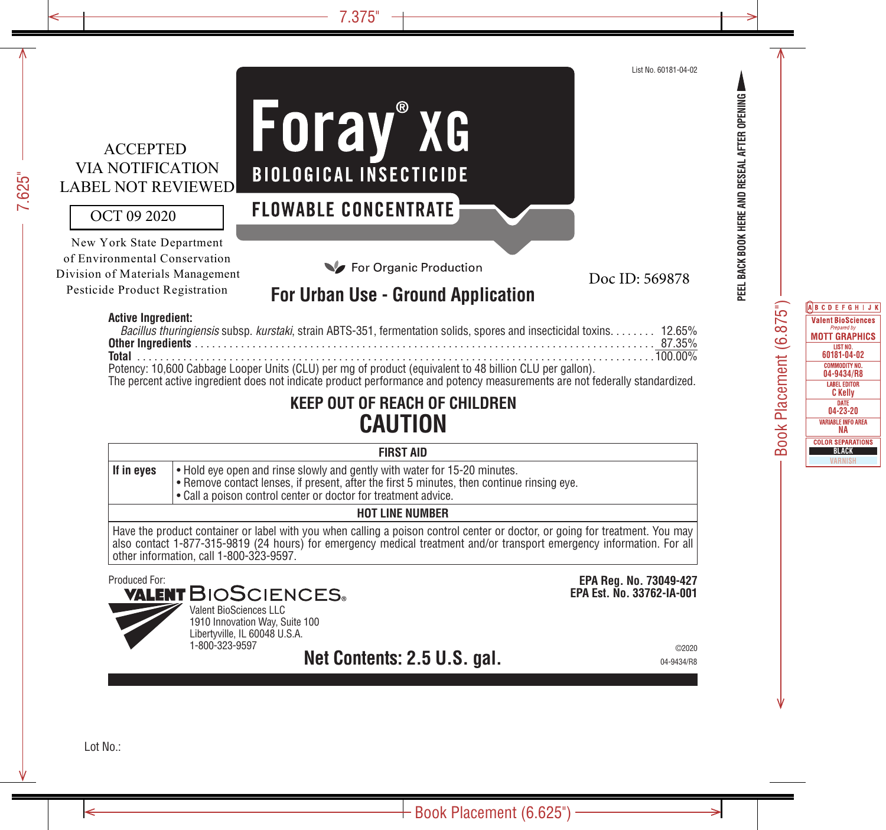### ACCEPTED VIA NOTIFICATION LABEL NOT REVIEWED

#### OCT 09 2020

New York State Department of Environmental Conservation Division of Materials Management Pesticide Product Registration

# Foray®xG **BIOLOGICAL INSECTICIDE**

### **FLOWABLE CONCENTRATE**

For Organic Production

Doc ID: 569878

### **For Urban Use - Ground Application**

#### **Active Ingredient:**

| Bacillus thuringiensis subsp. kurstaki, strain ABTS-351, fermentation solids, spores and insecticidal toxins 12.65%          |  |
|------------------------------------------------------------------------------------------------------------------------------|--|
|                                                                                                                              |  |
|                                                                                                                              |  |
| Potency: 10,600 Cabbage Looper Units (CLU) per mg of product (equivalent to 48 billion CLU per gallon).                      |  |
| The percent active ingredient does not indicate product performance and potency measurements are not federally standardized. |  |

### **KEEP OUT OF REACH OF CHILDREN CAUTION**

| If in eyes<br>$\cdot$ Hold eye open and rinse slowly and gently with water for 15-20 minutes. |  |
|-----------------------------------------------------------------------------------------------|--|
|-----------------------------------------------------------------------------------------------|--|

- Remove contact lenses, if present, after the first 5 minutes, then continue rinsing eye.
- Call a poison control center or doctor for treatment advice.

#### **HOT LINE NUMBER**

Have the product container or label with you when calling a poison control center or doctor, or going for treatment. You may also contact 1-877-315-9819 (24 hours) for emergency medical treatment and/or transport emergency information. For all other information, call 1-800-323-9597.

## Produced For:<br>**VALENT** BIOSCIENCES。



Valent BioSciences LLC 1910 Innovation Way, Suite 100 Libertyville, IL 60048 U.S.A. 1-800-323-9597

**Net Contents: 2.5 U.S. gal.** 04-9434/R8

**EPA Reg. No. 73049-427 EPA Est. No. 33762-IA-001**

©2020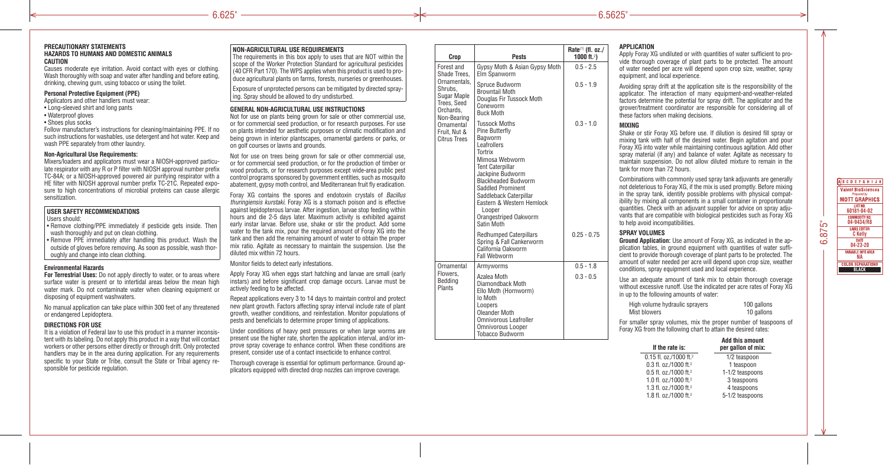#### **PRECAUTIONARY STATEMENTS HAZARDS TO HUMANS AND DOMESTIC ANIMALS CAUTION**

Causes moderate eye irritation. Avoid contact with eyes or clothing. Wash thoroughly with soap and water after handling and before eating, drinking, chewing gum, using tobacco or using the toilet.

#### **Personal Protective Equipment (PPE)**

Applicators and other handlers must wear:

- Long-sleeved shirt and long pants
- Waterproof gloves
- Shoes plus socks

Follow manufacturer's instructions for cleaning/maintaining PPE. If no such instructions for washables, use detergent and hot water. Keep and wash PPE separately from other laundry.

#### **Non-Agricultural Use Requirements:**

Mixers/loaders and applicators must wear a NIOSH-approved particulate respirator with any R or P filter with NIOSH approval number prefix TC-84A; or a NIOSH-approved powered air purifying respirator with a HE filter with NIOSH approval number prefix TC-21C. Repeated exposure to high concentrations of microbial proteins can cause allergic sensitization.

#### **USER SAFETY RECOMMENDATIONS**

#### Users should:

• Remove clothing/PPE immediately if pesticide gets inside. Then wash thoroughly and put on clean clothing.

• Remove PPE immediately after handling this product. Wash the outside of gloves before removing. As soon as possible, wash thoroughly and change into clean clothing.

#### **Environmental Hazards**

**For Terrestrial Uses:** Do not apply directly to water, or to areas where surface water is present or to intertidal areas below the mean high water mark. Do not contaminate water when cleaning equipment or disposing of equipment washwaters.

No manual application can take place within 300 feet of any threatened or endangered Lepidoptera.

#### **DIRECTIONS FOR USE**

It is a violation of Federal law to use this product in a manner inconsistent with its labeling. Do not apply this product in a way that will contact workers or other persons either directly or through drift. Only protected handlers may be in the area during application. For any requirements specific to your State or Tribe, consult the State or Tribal agency responsible for pesticide regulation.

#### **NON-AGRICULTURAL USE REQUIREMENTS**

The requirements in this box apply to uses that are NOT within the scope of the Worker Protection Standard for agricultural pesticides (40 CFR Part 170). The WPS applies when this product is used to produce agricultural plants on farms, forests, nurseries or greenhouses.

Exposure of unprotected persons can be mitigated by directed spraying. Spray should be allowed to dry undisturbed.

#### **GENERAL NON-AGRICULTURAL USE INSTRUCTIONS**

Not for use on plants being grown for sale or other commercial use, or for commercial seed production, or for research purposes. For use on plants intended for aesthetic purposes or climatic modification and being grown in interior plantscapes, ornamental gardens or parks, or on golf courses or lawns and grounds.

Not for use on trees being grown for sale or other commercial use. or for commercial seed production, or for the production of timber or wood products, or for research purposes except wide-area public pest control programs sponsored by government entities, such as mosquito abatement, gypsy moth control, and Mediterranean fruit fly eradication.

Foray XG contains the spores and endotoxin crystals of *Bacillus thuringiensis kurstaki*. Foray XG is a stomach poison and is effective against lepidopterous larvae. After ingestion, larvae stop feeding within hours and die 2-5 days later. Maximum activity is exhibited against early instar larvae. Before use, shake or stir the product. Add some water to the tank mix, pour the required amount of Foray XG into the tank and then add the remaining amount of water to obtain the proper mix ratio. Agitate as necessary to maintain the suspension. Use the diluted mix within 72 hours.

#### Monitor fields to detect early infestations.

Apply Foray XG when eggs start hatching and larvae are small (early instars) and before significant crop damage occurs. Larvae must be actively feeding to be affected.

Repeat applications every 3 to 14 days to maintain control and protect new plant growth. Factors affecting spray interval include rate of plant growth, weather conditions, and reinfestation. Monitor populations of pests and beneficials to determine proper timing of applications.

Under conditions of heavy pest pressures or when large worms are present use the higher rate, shorten the application interval, and/or improve spray coverage to enhance control. When these conditions are present, consider use of a contact insecticide to enhance control.

Thorough coverage is essential for optimum performance. Ground applicators equipped with directed drop nozzles can improve coverage.

|  | Crop                                                                                                                                                                 | <b>Pests</b>                                                                                                                                                                                                                                                                                                   | Rate <sup>(1)</sup> (fl. oz./<br>1000 ft. <sup>2</sup> ) |  |
|--|----------------------------------------------------------------------------------------------------------------------------------------------------------------------|----------------------------------------------------------------------------------------------------------------------------------------------------------------------------------------------------------------------------------------------------------------------------------------------------------------|----------------------------------------------------------|--|
|  | Forest and<br>Shade Trees,<br>Ornamentals,<br>Shrubs,<br>Sugar Maple<br>Trees, Seed<br>Orchards,<br>Non-Bearing<br>Ornamental<br>Fruit, Nut &<br><b>Citrus Trees</b> | Gypsy Moth & Asian Gypsy Moth<br>Elm Spanworm                                                                                                                                                                                                                                                                  | $0.5 - 2.5$                                              |  |
|  |                                                                                                                                                                      | Spruce Budworm<br><b>Browntail Moth</b><br>Douglas Fir Tussock Moth<br>Coneworm<br><b>Buck Moth</b>                                                                                                                                                                                                            | $0.5 - 1.9$                                              |  |
|  |                                                                                                                                                                      | <b>Tussock Moths</b><br>Pine Butterfly<br>Bagworm<br>Leafrollers<br>Tortrix<br>Mimosa Webworm<br><b>Tent Caterpillar</b><br>Jackpine Budworm<br><b>Blackheaded Budworm</b><br><b>Saddled Prominent</b><br>Saddleback Caterpillar<br>Eastern & Western Hemlock<br>Looper<br>Orangestriped Oakworm<br>Satin Moth | $0.3 - 1.0$                                              |  |
|  |                                                                                                                                                                      | <b>Redhumped Caterpillars</b><br>Spring & Fall Cankerworm<br>California Oakworm<br><b>Fall Webworm</b>                                                                                                                                                                                                         | $0.25 - 0.75$                                            |  |
|  | Ornamental                                                                                                                                                           | Armyworms                                                                                                                                                                                                                                                                                                      | $0.5 - 1.8$                                              |  |
|  | Flowers.<br>Bedding<br>Plants                                                                                                                                        | Azalea Moth<br>Diamondback Moth<br>Ello Moth (Hornworm)<br>lo Moth<br>Loopers<br>Oleander Moth<br><b>Omnivorous Leafroller</b><br><b>Omnivorous Looper</b><br><b>Tobacco Budworm</b>                                                                                                                           | $0.3 - 0.5$                                              |  |

#### **APPLICATION**

Apply Foray XG undiluted or with quantities of water sufficient to provide thorough coverage of plant parts to be protected. The amount of water needed per acre will depend upon crop size, weather, spray equipment, and local experience.

Avoiding spray drift at the application site is the responsibility of the applicator. The interaction of many equipment-and-weather-related factors determine the potential for spray drift. The applicator and the grower/treatment coordinator are responsible for considering all of these factors when making decisions.

#### **MIXING**

Shake or stir Foray XG before use. If dilution is desired fill spray or mixing tank with half of the desired water. Begin agitation and pour Foray XG into water while maintaining continuous agitation. Add other spray material (if any) and balance of water. Agitate as necessary to maintain suspension. Do not allow diluted mixture to remain in the tank for more than 72 hours.

Combinations with commonly used spray tank adjuvants are generally not deleterious to Foray XG, if the mix is used promptly. Before mixing in the spray tank, identify possible problems with physical compatibility by mixing all components in a small container in proportionate quantities. Check with an adjuvant supplier for advice on spray adjuvants that are compatible with biological pesticides such as Foray XG to help avoid incompatibilities.

#### **SPRAY VOLUMES**

**Ground Application:** Use amount of Foray XG, as indicated in the application tables, in ground equipment with quantities of water sufficient to provide thorough coverage of plant parts to be protected. The amount of water needed per acre will depend upon crop size, weather conditions, spray equipment used and local experience.

Use an adequate amount of tank mix to obtain thorough coverage without excessive runoff. Use the indicated per acre rates of Foray XG in up to the following amounts of water:

| High volume hydraulic sprayers | 100 gallons |
|--------------------------------|-------------|
| Mist blowers                   | 10 gallons  |

For smaller spray volumes, mix the proper number of teaspoons of Foray XG from the following chart to attain the desired rates:

| If the rate is:                    | <b>Add this amount</b><br>per gallon of mix: |
|------------------------------------|----------------------------------------------|
| 0.15 fl. oz./1000 ft. <sup>2</sup> | 1/2 teaspoon                                 |
| 0.3 fl. oz./1000 ft. <sup>2</sup>  | 1 teaspoon                                   |
| 0.5 fl. oz./1000 ft. <sup>2</sup>  | 1-1/2 teaspoons                              |
| 1.0 fl. oz./1000 ft. <sup>2</sup>  | 3 teaspoons                                  |
| 1.3 fl. oz./1000 ft. <sup>2</sup>  | 4 teaspoons                                  |
| 1.8 fl. oz./1000 ft. <sup>2</sup>  | 5-1/2 teaspoons                              |